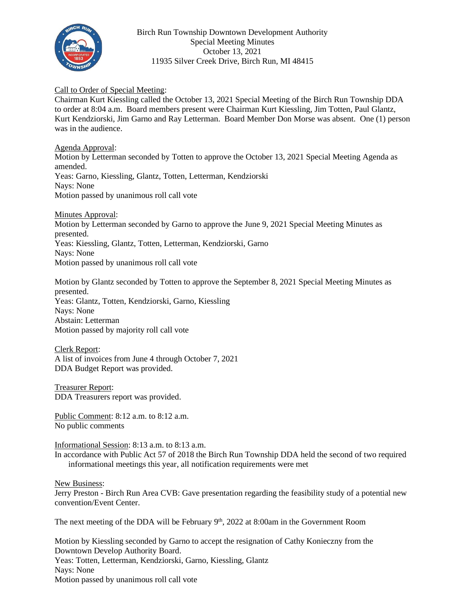

Birch Run Township Downtown Development Authority Special Meeting Minutes October 13, 2021 11935 Silver Creek Drive, Birch Run, MI 48415

## Call to Order of Special Meeting:

Chairman Kurt Kiessling called the October 13, 2021 Special Meeting of the Birch Run Township DDA to order at 8:04 a.m. Board members present were Chairman Kurt Kiessling, Jim Totten, Paul Glantz, Kurt Kendziorski, Jim Garno and Ray Letterman. Board Member Don Morse was absent. One (1) person was in the audience.

Agenda Approval:

Motion by Letterman seconded by Totten to approve the October 13, 2021 Special Meeting Agenda as amended. Yeas: Garno, Kiessling, Glantz, Totten, Letterman, Kendziorski Nays: None Motion passed by unanimous roll call vote

Minutes Approval:

Motion by Letterman seconded by Garno to approve the June 9, 2021 Special Meeting Minutes as presented. Yeas: Kiessling, Glantz, Totten, Letterman, Kendziorski, Garno Nays: None Motion passed by unanimous roll call vote

Motion by Glantz seconded by Totten to approve the September 8, 2021 Special Meeting Minutes as presented. Yeas: Glantz, Totten, Kendziorski, Garno, Kiessling Nays: None Abstain: Letterman Motion passed by majority roll call vote

Clerk Report: A list of invoices from June 4 through October 7, 2021 DDA Budget Report was provided.

Treasurer Report: DDA Treasurers report was provided.

Public Comment: 8:12 a.m. to 8:12 a.m. No public comments

Informational Session: 8:13 a.m. to 8:13 a.m.

In accordance with Public Act 57 of 2018 the Birch Run Township DDA held the second of two required informational meetings this year, all notification requirements were met

New Business:

Jerry Preston - Birch Run Area CVB: Gave presentation regarding the feasibility study of a potential new convention/Event Center.

The next meeting of the DDA will be February  $9<sup>th</sup>$ , 2022 at 8:00am in the Government Room

Motion by Kiessling seconded by Garno to accept the resignation of Cathy Konieczny from the Downtown Develop Authority Board. Yeas: Totten, Letterman, Kendziorski, Garno, Kiessling, Glantz Nays: None Motion passed by unanimous roll call vote